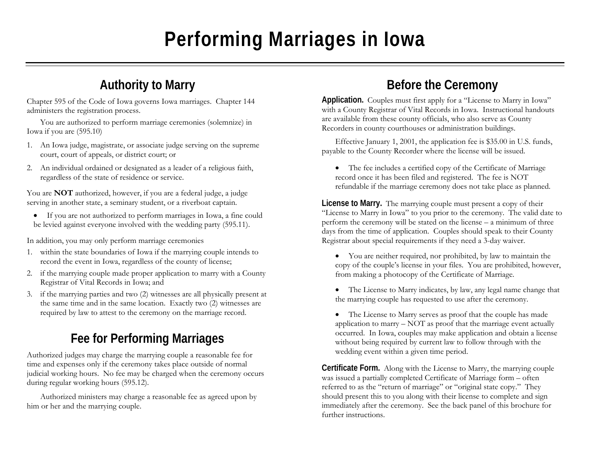# **Performing Marriages in Iowa**

#### **Authority to Marry**

Chapter 595 of the Code of Iowa governs Iowa marriages. Chapter 144 administers the registration process.

You are authorized to perform marriage ceremonies (solemnize) in Iowa if you are (595.10)

- 1. An Iowa judge, magistrate, or associate judge serving on the supreme court, court of appeals, or district court; or
- 2. An individual ordained or designated as a leader of a religious faith, regardless of the state of residence or service.

You are **NOT** authorized, however, if you are a federal judge, a judge serving in another state, a seminary student, or a riverboat captain.

• If you are not authorized to perform marriages in Iowa, a fine could be levied against everyone involved with the wedding party (595.11).

In addition, you may only perform marriage ceremonies

- 1. within the state boundaries of Iowa if the marrying couple intends to record the event in Iowa, regardless of the county of license;
- 2. if the marrying couple made proper application to marry with a County Registrar of Vital Records in Iowa; and
- 3. if the marrying parties and two (2) witnesses are all physically present at the same time and in the same location. Exactly two (2) witnesses are required by law to attest to the ceremony on the marriage record.

### **Fee for Performing Marriages**

Authorized judges may charge the marrying couple a reasonable fee for time and expenses only if the ceremony takes place outside of normal judicial working hours. No fee may be charged when the ceremony occurs during regular working hours (595.12).

 Authorized ministers may charge a reasonable fee as agreed upon by him or her and the marrying couple.

#### **Before the Ceremony**

**Application.** Couples must first apply for a "License to Marry in Iowa" with a County Registrar of Vital Records in Iowa. Instructional handouts are available from these county officials, who also serve as County Recorders in county courthouses or administration buildings.

 Effective January 1, 2001, the application fee is \$35.00 in U.S. funds, payable to the County Recorder where the license will be issued.

• The fee includes a certified copy of the Certificate of Marriage record once it has been filed and registered. The fee is NOT refundable if the marriage ceremony does not take place as planned.

**License to Marry.** The marrying couple must present a copy of their "License to Marry in Iowa" to you prior to the ceremony. The valid date to perform the ceremony will be stated on the license – a minimum of three days from the time of application. Couples should speak to their County Registrar about special requirements if they need a 3-day waiver.

- You are neither required, nor prohibited, by law to maintain the copy of the couple's license in your files. You are prohibited, however, from making a photocopy of the Certificate of Marriage.
- • The License to Marry indicates, by law, any legal name change that the marrying couple has requested to use after the ceremony.
- The License to Marry serves as proof that the couple has made application to marry – NOT as proof that the marriage event actually occurred. In Iowa, couples may make application and obtain a license without being required by current law to follow through with the wedding event within a given time period.

**Certificate Form.** Along with the License to Marry, the marrying couple was issued a partially completed Certificate of Marriage form – often referred to as the "return of marriage" or "original state copy." They should present this to you along with their license to complete and sign immediately after the ceremony. See the back panel of this brochure for further instructions.